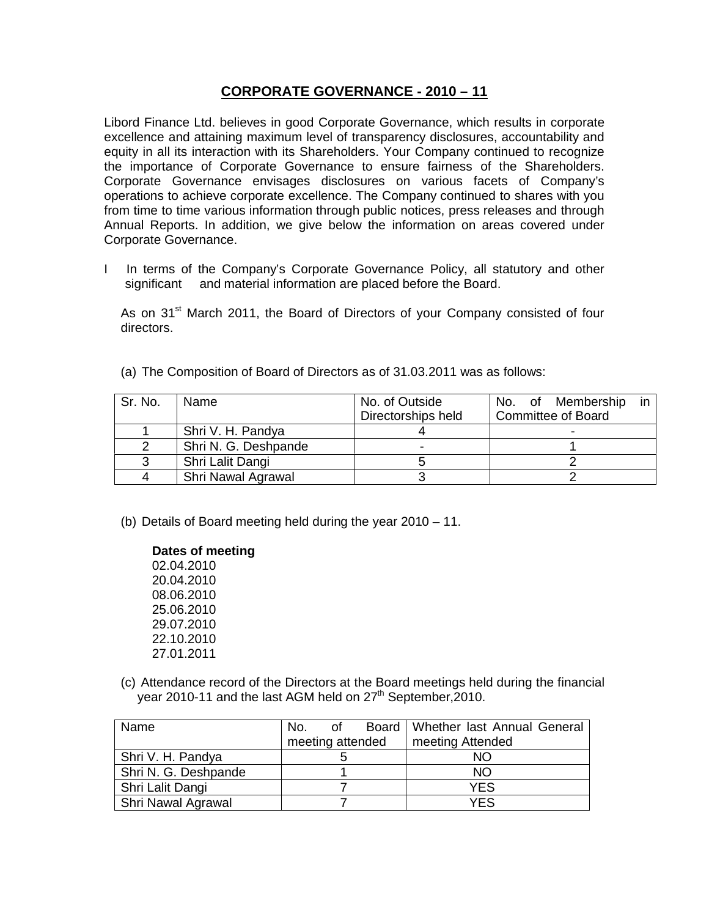# **CORPORATE GOVERNANCE - 2010 – 11**

Libord Finance Ltd. believes in good Corporate Governance, which results in corporate excellence and attaining maximum level of transparency disclosures, accountability and equity in all its interaction with its Shareholders. Your Company continued to recognize the importance of Corporate Governance to ensure fairness of the Shareholders. Corporate Governance envisages disclosures on various facets of Company's operations to achieve corporate excellence. The Company continued to shares with you from time to time various information through public notices, press releases and through Annual Reports. In addition, we give below the information on areas covered under Corporate Governance.

I In terms of the Company's Corporate Governance Policy, all statutory and other significant and material information are placed before the Board.

As on 31<sup>st</sup> March 2011, the Board of Directors of your Company consisted of four directors.

(a) The Composition of Board of Directors as of 31.03.2011 was as follows:

| Sr. No. | Name                 | No. of Outside     | No. of Membership<br>in   |
|---------|----------------------|--------------------|---------------------------|
|         |                      | Directorships held | <b>Committee of Board</b> |
|         | Shri V. H. Pandya    |                    |                           |
|         | Shri N. G. Deshpande |                    |                           |
|         | Shri Lalit Dangi     |                    |                           |
| 4       | Shri Nawal Agrawal   |                    |                           |

(b) Details of Board meeting held during the year 2010 – 11.

### **Dates of meeting**

- 02.04.2010 20.04.2010 08.06.2010 25.06.2010 29.07.2010 22.10.2010 27.01.2011
- (c) Attendance record of the Directors at the Board meetings held during the financial year 2010-11 and the last AGM held on 27<sup>th</sup> September, 2010.

| Name                 | No.              | of | Board   Whether last Annual General |
|----------------------|------------------|----|-------------------------------------|
|                      | meeting attended |    | meeting Attended                    |
| Shri V. H. Pandya    |                  |    | NΟ                                  |
| Shri N. G. Deshpande |                  |    | NΟ                                  |
| Shri Lalit Dangi     |                  |    | YES                                 |
| Shri Nawal Agrawal   |                  |    | YES                                 |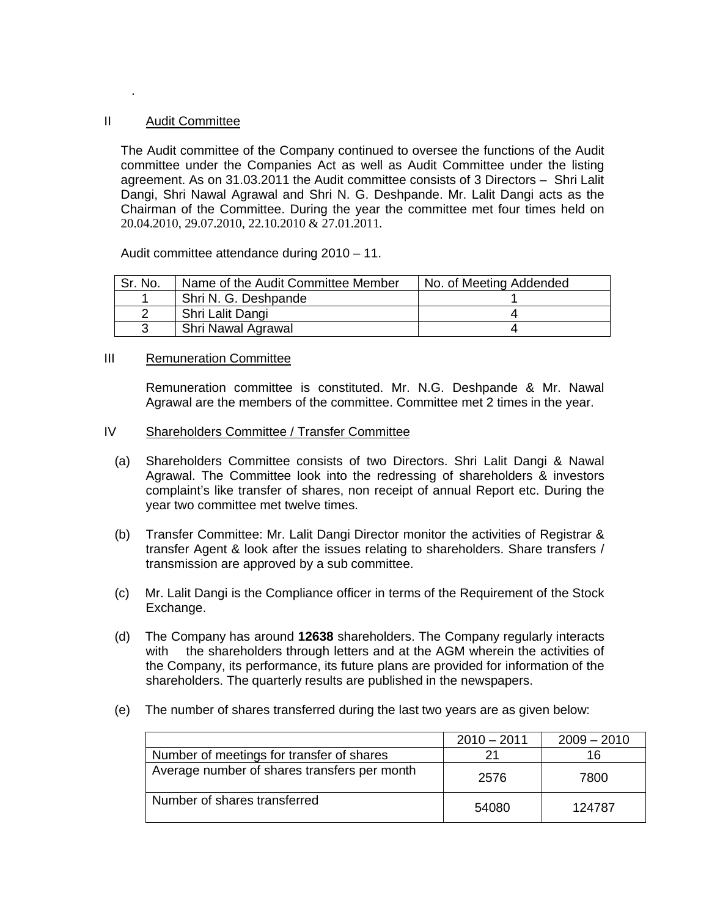### II Audit Committee

.

The Audit committee of the Company continued to oversee the functions of the Audit committee under the Companies Act as well as Audit Committee under the listing agreement. As on 31.03.2011 the Audit committee consists of 3 Directors – Shri Lalit Dangi, Shri Nawal Agrawal and Shri N. G. Deshpande. Mr. Lalit Dangi acts as the Chairman of the Committee. During the year the committee met four times held on 20.04.2010, 29.07.2010, 22.10.2010 & 27.01.2011.

Audit committee attendance during 2010 – 11.

| Sr. No. | Name of the Audit Committee Member | No. of Meeting Addended |
|---------|------------------------------------|-------------------------|
|         | Shri N. G. Deshpande               |                         |
|         | Shri Lalit Dangi                   |                         |
|         | Shri Nawal Agrawal                 |                         |

### III Remuneration Committee

Remuneration committee is constituted. Mr. N.G. Deshpande & Mr. Nawal Agrawal are the members of the committee. Committee met 2 times in the year.

### IV Shareholders Committee / Transfer Committee

- (a) Shareholders Committee consists of two Directors. Shri Lalit Dangi & Nawal Agrawal. The Committee look into the redressing of shareholders & investors complaint's like transfer of shares, non receipt of annual Report etc. During the year two committee met twelve times.
- (b) Transfer Committee: Mr. Lalit Dangi Director monitor the activities of Registrar & transfer Agent & look after the issues relating to shareholders. Share transfers / transmission are approved by a sub committee.
- (c) Mr. Lalit Dangi is the Compliance officer in terms of the Requirement of the Stock Exchange.
- (d) The Company has around **12638** shareholders. The Company regularly interacts with the shareholders through letters and at the AGM wherein the activities of the Company, its performance, its future plans are provided for information of the shareholders. The quarterly results are published in the newspapers.
- (e) The number of shares transferred during the last two years are as given below:

|                                              | $2010 - 2011$ | $2009 - 2010$ |
|----------------------------------------------|---------------|---------------|
| Number of meetings for transfer of shares    |               | 16            |
| Average number of shares transfers per month | 2576          | 7800          |
| Number of shares transferred                 | 54080         | 124787        |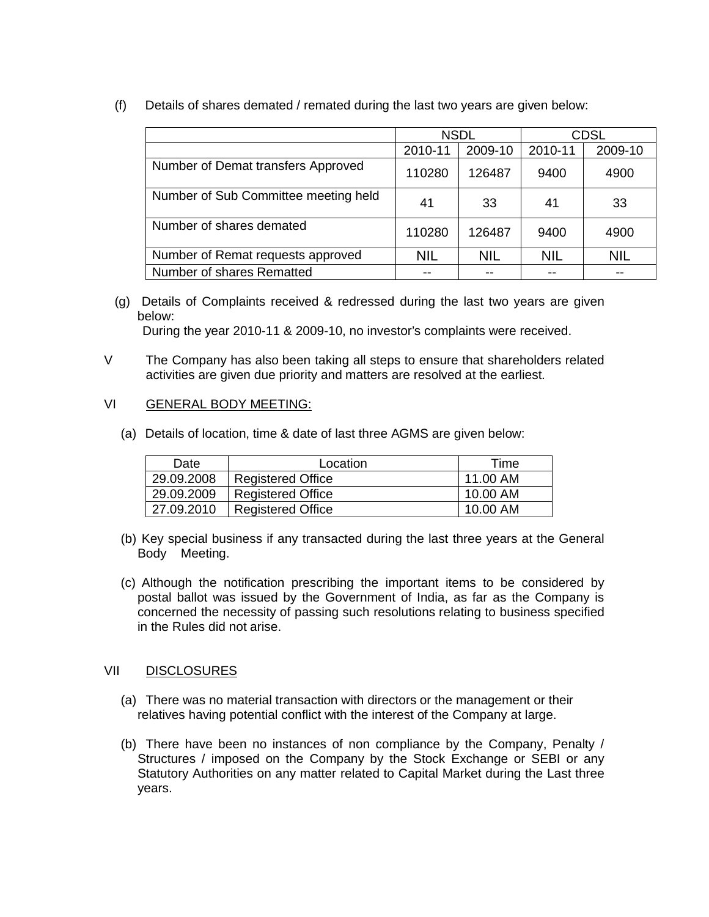(f) Details of shares demated / remated during the last two years are given below:

|                                      | <b>NSDL</b> |            |            | <b>CDSL</b> |
|--------------------------------------|-------------|------------|------------|-------------|
|                                      | 2010-11     | 2009-10    | 2010-11    | 2009-10     |
| Number of Demat transfers Approved   | 110280      | 126487     | 9400       | 4900        |
| Number of Sub Committee meeting held | 41          | 33         | 41         | 33          |
| Number of shares demated             | 110280      | 126487     | 9400       | 4900        |
| Number of Remat requests approved    | <b>NIL</b>  | <b>NIL</b> | <b>NIL</b> | <b>NIL</b>  |
| Number of shares Rematted            |             |            |            |             |

(g) Details of Complaints received & redressed during the last two years are given below:

During the year 2010-11 & 2009-10, no investor's complaints were received.

V The Company has also been taking all steps to ensure that shareholders related activities are given due priority and matters are resolved at the earliest.

## VI GENERAL BODY MEETING:

(a) Details of location, time & date of last three AGMS are given below:

| Date       | Location                 | Time     |
|------------|--------------------------|----------|
| 29.09.2008 | <b>Registered Office</b> | 11.00 AM |
| 29.09.2009 | <b>Registered Office</b> | 10.00 AM |
| 27.09.2010 | <b>Registered Office</b> | 10.00 AM |

- (b) Key special business if any transacted during the last three years at the General Body Meeting.
- (c) Although the notification prescribing the important items to be considered by postal ballot was issued by the Government of India, as far as the Company is concerned the necessity of passing such resolutions relating to business specified in the Rules did not arise.

## VII DISCLOSURES

- (a) There was no material transaction with directors or the management or their relatives having potential conflict with the interest of the Company at large.
- (b) There have been no instances of non compliance by the Company, Penalty / Structures / imposed on the Company by the Stock Exchange or SEBI or any Statutory Authorities on any matter related to Capital Market during the Last three years.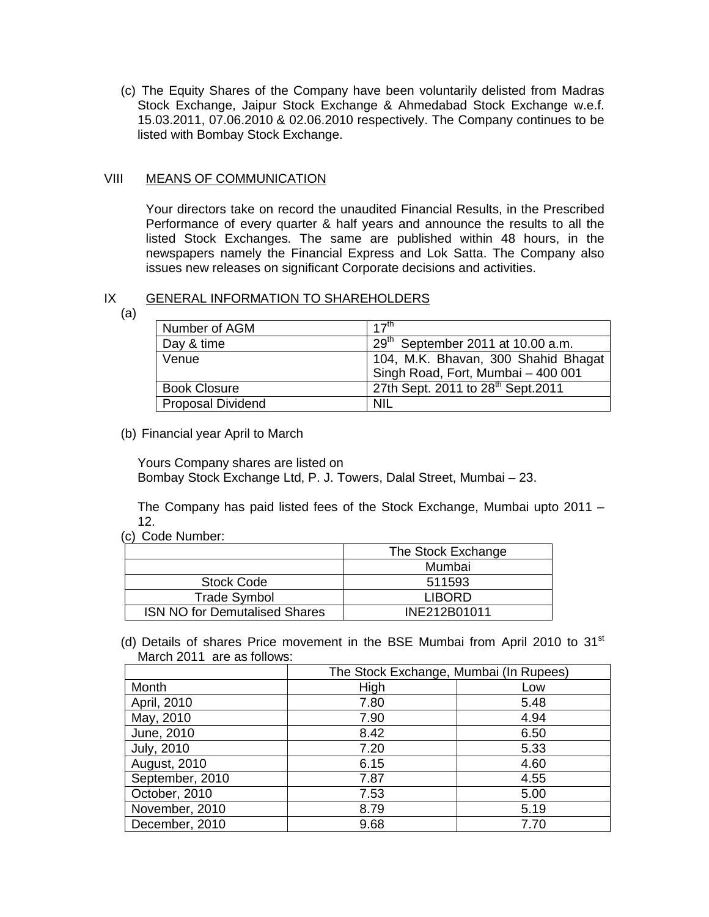(c) The Equity Shares of the Company have been voluntarily delisted from Madras Stock Exchange, Jaipur Stock Exchange & Ahmedabad Stock Exchange w.e.f. 15.03.2011, 07.06.2010 & 02.06.2010 respectively. The Company continues to be listed with Bombay Stock Exchange.

## VIII MEANS OF COMMUNICATION

Your directors take on record the unaudited Financial Results, in the Prescribed Performance of every quarter & half years and announce the results to all the listed Stock Exchanges. The same are published within 48 hours, in the newspapers namely the Financial Express and Lok Satta. The Company also issues new releases on significant Corporate decisions and activities.

### IX GENERAL INFORMATION TO SHAREHOLDERS

(a)

| Number of AGM            | 17 <sup>th</sup>                               |
|--------------------------|------------------------------------------------|
| Day & time               | $29th$ September 2011 at 10.00 a.m.            |
| Venue                    | 104, M.K. Bhavan, 300 Shahid Bhagat            |
|                          | Singh Road, Fort, Mumbai - 400 001             |
| <b>Book Closure</b>      | 27th Sept. 2011 to 28 <sup>th</sup> Sept. 2011 |
| <b>Proposal Dividend</b> | <b>NIL</b>                                     |
|                          |                                                |

## (b) Financial year April to March

Yours Company shares are listed on

Bombay Stock Exchange Ltd, P. J. Towers, Dalal Street, Mumbai – 23.

The Company has paid listed fees of the Stock Exchange, Mumbai upto 2011 – 12.

(c) Code Number:

|                                      | The Stock Exchange |
|--------------------------------------|--------------------|
|                                      | Mumbai             |
| <b>Stock Code</b>                    | 511593             |
| <b>Trade Symbol</b>                  | <b>LIBORD</b>      |
| <b>ISN NO for Demutalised Shares</b> | INE212B01011       |

(d) Details of shares Price movement in the BSE Mumbai from April 2010 to  $31<sup>st</sup>$ March 2011 are as follows:

|                     | The Stock Exchange, Mumbai (In Rupees) |      |  |
|---------------------|----------------------------------------|------|--|
| Month               | High                                   | Low  |  |
| April, 2010         | 7.80                                   | 5.48 |  |
| May, 2010           | 7.90                                   | 4.94 |  |
| June, 2010          | 8.42                                   | 6.50 |  |
| <b>July, 2010</b>   | 7.20                                   | 5.33 |  |
| <b>August, 2010</b> | 6.15                                   | 4.60 |  |
| September, 2010     | 7.87                                   | 4.55 |  |
| October, 2010       | 7.53                                   | 5.00 |  |
| November, 2010      | 8.79                                   | 5.19 |  |
| December, 2010      | 9.68                                   | 7.70 |  |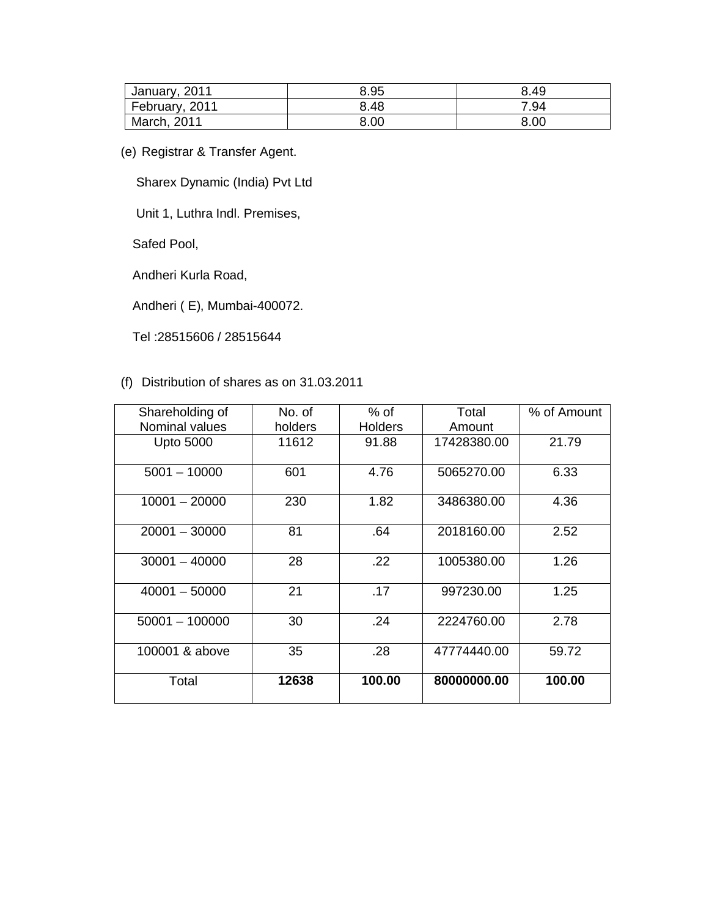| January, 2011  | 8.95 | 8.49 |
|----------------|------|------|
| February, 2011 | 8.48 | 7.94 |
| March, 2011    | 8.00 | 8.00 |

(e) Registrar & Transfer Agent.

Sharex Dynamic (India) Pvt Ltd

Unit 1, Luthra Indl. Premises,

Safed Pool,

Andheri Kurla Road,

Andheri ( E), Mumbai-400072.

Tel :28515606 / 28515644

# (f) Distribution of shares as on 31.03.2011

| Shareholding of  | No. of  | $%$ of         | Total       | % of Amount |
|------------------|---------|----------------|-------------|-------------|
| Nominal values   | holders | <b>Holders</b> | Amount      |             |
| <b>Upto 5000</b> | 11612   | 91.88          | 17428380.00 | 21.79       |
| $5001 - 10000$   | 601     | 4.76           | 5065270.00  | 6.33        |
| $10001 - 20000$  | 230     | 1.82           | 3486380.00  | 4.36        |
| $20001 - 30000$  | 81      | .64            | 2018160.00  | 2.52        |
| $30001 - 40000$  | 28      | .22            | 1005380.00  | 1.26        |
| $40001 - 50000$  | 21      | .17            | 997230.00   | 1.25        |
| $50001 - 100000$ | 30      | .24            | 2224760.00  | 2.78        |
| 100001 & above   | 35      | .28            | 47774440.00 | 59.72       |
| Total            | 12638   | 100.00         | 80000000.00 | 100.00      |